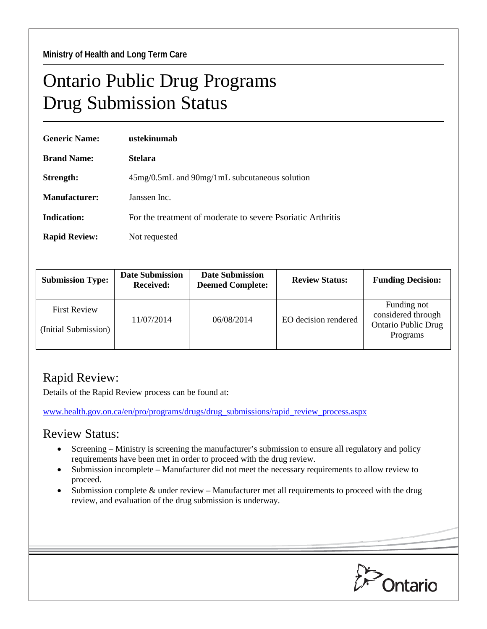## Ontario Public Drug Programs Drug Submission Status

| <b>Generic Name:</b> | ustekinumab                                                 |  |  |
|----------------------|-------------------------------------------------------------|--|--|
| <b>Brand Name:</b>   | <b>Stelara</b>                                              |  |  |
| Strength:            | 45mg/0.5mL and 90mg/1mL subcutaneous solution               |  |  |
| <b>Manufacturer:</b> | Janssen Inc.                                                |  |  |
| <b>Indication:</b>   | For the treatment of moderate to severe Psoriatic Arthritis |  |  |
| <b>Rapid Review:</b> | Not requested                                               |  |  |

| <b>Submission Type:</b>                     | <b>Date Submission</b><br><b>Received:</b> | <b>Date Submission</b><br><b>Deemed Complete:</b> | <b>Review Status:</b> | <b>Funding Decision:</b>                                                    |
|---------------------------------------------|--------------------------------------------|---------------------------------------------------|-----------------------|-----------------------------------------------------------------------------|
| <b>First Review</b><br>(Initial Submission) | 11/07/2014                                 | 06/08/2014                                        | EO decision rendered  | Funding not<br>considered through<br><b>Ontario Public Drug</b><br>Programs |

## Rapid Review:

Details of the Rapid Review process can be found at:

[www.health.gov.on.ca/en/pro/programs/drugs/drug\\_submissions/rapid\\_review\\_process.aspx](http://www.health.gov.on.ca/en/pro/programs/drugs/drug_submissions/rapid_review_process.aspx)

## Review Status:

- Screening Ministry is screening the manufacturer's submission to ensure all regulatory and policy requirements have been met in order to proceed with the drug review.
- Submission incomplete Manufacturer did not meet the necessary requirements to allow review to proceed.
- Submission complete & under review Manufacturer met all requirements to proceed with the drug review, and evaluation of the drug submission is underway.